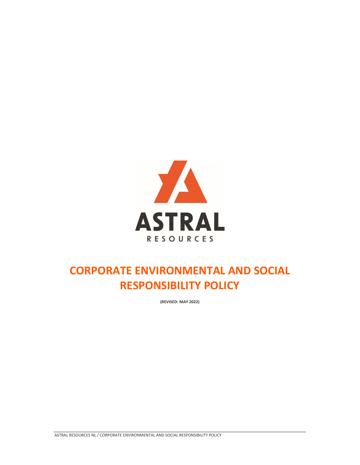

## **CORPORATE ENVIRONMENTAL AND SOCIAL RESPONSIBILITY POLICY**

**(REVISED: MAY 2022)**

ASTRAL RESOURCES NL / CORPORATE ENVIRONMENTAL AND SOCIAL RESPONSIBILITY POLICY